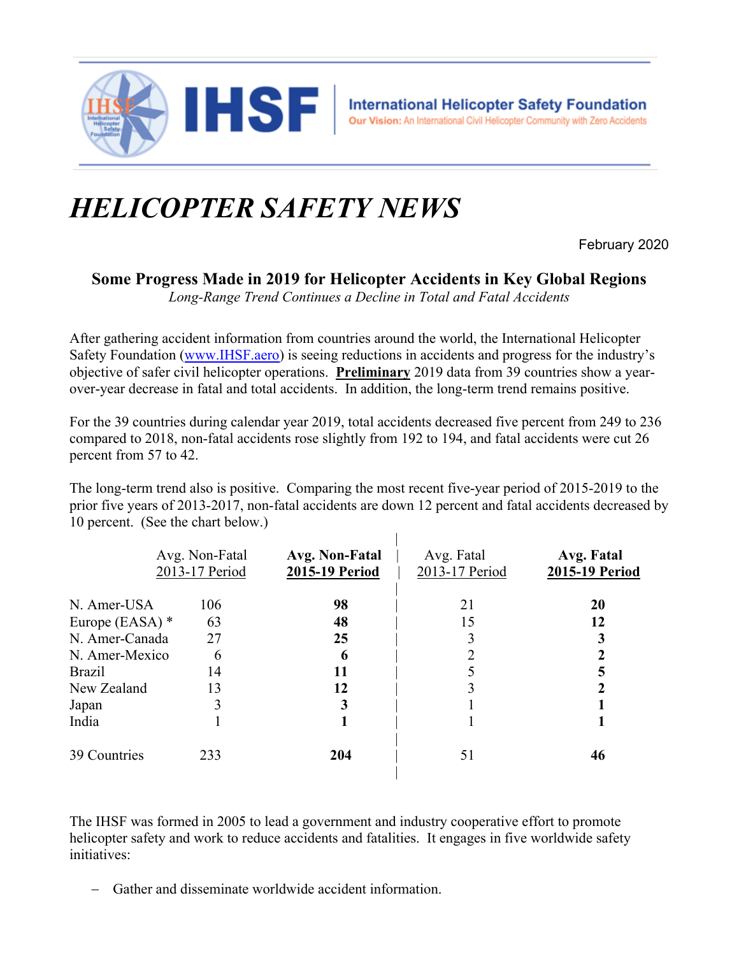

## *HELICOPTER SAFETY NEWS*

February 2020

## **Some Progress Made in 2019 for Helicopter Accidents in Key Global Regions**

*Long-Range Trend Continues a Decline in Total and Fatal Accidents* 

After gathering accident information from countries around the world, the International Helicopter Safety Foundation (www.IHSF.aero) is seeing reductions in accidents and progress for the industry's objective of safer civil helicopter operations. **Preliminary** 2019 data from 39 countries show a yearover-year decrease in fatal and total accidents. In addition, the long-term trend remains positive.

For the 39 countries during calendar year 2019, total accidents decreased five percent from 249 to 236 compared to 2018, non-fatal accidents rose slightly from 192 to 194, and fatal accidents were cut 26 percent from 57 to 42.

The long-term trend also is positive. Comparing the most recent five-year period of 2015-2019 to the prior five years of 2013-2017, non-fatal accidents are down 12 percent and fatal accidents decreased by 10 percent. (See the chart below.)

|                   | Avg. Non-Fatal<br>2013-17 Period | Avg. Non-Fatal<br>2015-19 Period | Avg. Fatal<br>2013-17 Period | Avg. Fatal<br>2015-19 Period |
|-------------------|----------------------------------|----------------------------------|------------------------------|------------------------------|
| N. Amer-USA       | 106                              | 98                               | 21                           | 20                           |
| Europe (EASA) $*$ | 63                               | 48                               | 15                           | 12                           |
| N. Amer-Canada    | 27                               | 25                               | 3                            |                              |
| N. Amer-Mexico    | 6                                | 6                                | $\overline{2}$               |                              |
| <b>Brazil</b>     | 14                               | 11                               |                              |                              |
| New Zealand       | 13                               | 12                               | 3                            |                              |
| Japan             | 3                                | 3                                |                              |                              |
| India             |                                  |                                  |                              |                              |
| 39 Countries      | 233                              | 204                              | 51                           | 46                           |

The IHSF was formed in 2005 to lead a government and industry cooperative effort to promote helicopter safety and work to reduce accidents and fatalities. It engages in five worldwide safety initiatives:

Gather and disseminate worldwide accident information.